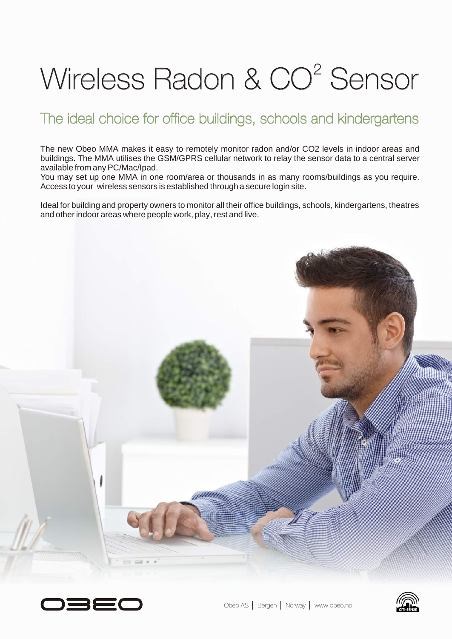# Wireless Radon & CO<sup>2</sup> Sensor

### The ideal choice for office buildings, schools and kindergartens

The new Obeo MMA makes it easy to remotely monitor radon and/or CO2 levels in indoor areas and buildings. The MMA utilises the GSM/GPRS cellular network to relay the sensor data to a central server available from any PC/Mac/Ipad.

You may set up one MMA in one room/area or thousands in as many rooms/buildings as you require. Access to your wireless sensors is established through a secure login site.

Ideal for building and property owners to monitor all their office buildings, schools, kindergartens, theatres and other indoor areas where people work, play, rest and live.





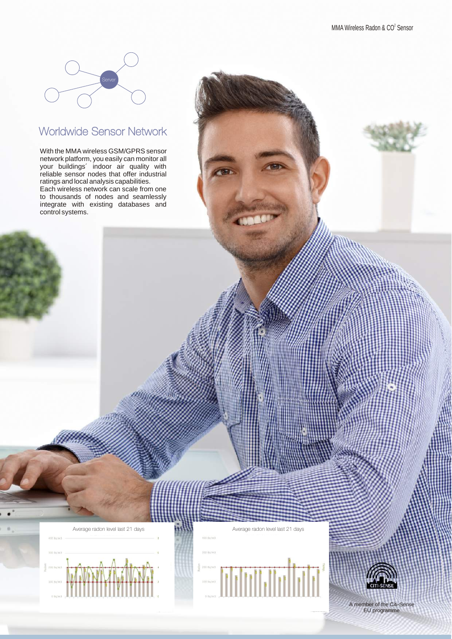

#### Worldwide Sensor Network

With the MMA wireless GSM/GPRS sensor network platform, you easily can monitor all your buildings´ indoor air quality with reliable sensor nodes that offer industrial ratings and local analysis capabilities.

Each wireless network can scale from one to thousands of nodes and seamlessly integrate with existing databases and control systems.





A member of the Citi-Sense EU programme